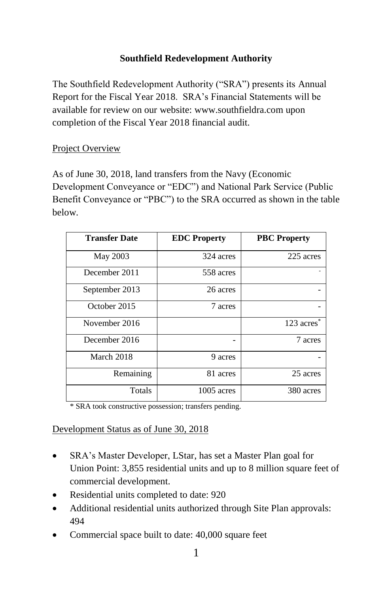# **Southfield Redevelopment Authority**

The Southfield Redevelopment Authority ("SRA") presents its Annual Report for the Fiscal Year 2018. SRA's Financial Statements will be available for review on our website[: www.southfieldra.com](http://www.southfieldra.com/) upon completion of the Fiscal Year 2018 financial audit.

## Project Overview

As of June 30, 2018, land transfers from the Navy (Economic Development Conveyance or "EDC") and National Park Service (Public Benefit Conveyance or "PBC") to the SRA occurred as shown in the table below.

| <b>Transfer Date</b> | <b>EDC</b> Property | <b>PBC</b> Property      |
|----------------------|---------------------|--------------------------|
| May 2003             | 324 acres           | 225 acres                |
| December 2011        | 558 acres           |                          |
| September 2013       | 26 acres            |                          |
| October 2015         | 7 acres             |                          |
| November 2016        |                     | $123$ acres <sup>*</sup> |
| December 2016        |                     | 7 acres                  |
| March 2018           | 9 acres             |                          |
| Remaining            | 81 acres            | 25 acres                 |
| Totals               | $1005$ acres        | 380 acres                |

\* SRA took constructive possession; transfers pending.

### Development Status as of June 30, 2018

- SRA's Master Developer, LStar, has set a Master Plan goal for Union Point: 3,855 residential units and up to 8 million square feet of commercial development.
- Residential units completed to date: 920
- Additional residential units authorized through Site Plan approvals: 494
- Commercial space built to date: 40,000 square feet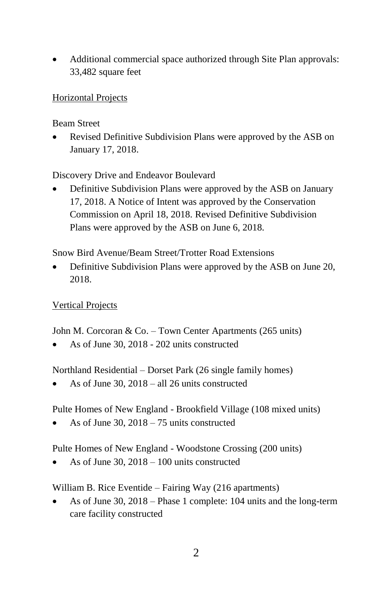• Additional commercial space authorized through Site Plan approvals: 33,482 square feet

## Horizontal Projects

Beam Street

• Revised Definitive Subdivision Plans were approved by the ASB on January 17, 2018.

Discovery Drive and Endeavor Boulevard

• Definitive Subdivision Plans were approved by the ASB on January 17, 2018. A Notice of Intent was approved by the Conservation Commission on April 18, 2018. Revised Definitive Subdivision Plans were approved by the ASB on June 6, 2018.

Snow Bird Avenue/Beam Street/Trotter Road Extensions

• Definitive Subdivision Plans were approved by the ASB on June 20, 2018.

Vertical Projects

John M. Corcoran & Co. – Town Center Apartments (265 units)

• As of June 30, 2018 - 202 units constructed

Northland Residential – Dorset Park (26 single family homes)

As of June 30,  $2018 -$  all 26 units constructed

Pulte Homes of New England - Brookfield Village (108 mixed units)

As of June 30,  $2018 - 75$  units constructed

Pulte Homes of New England - Woodstone Crossing (200 units)

As of June 30,  $2018 - 100$  units constructed

William B. Rice Eventide – Fairing Way (216 apartments)

• As of June 30, 2018 – Phase 1 complete: 104 units and the long-term care facility constructed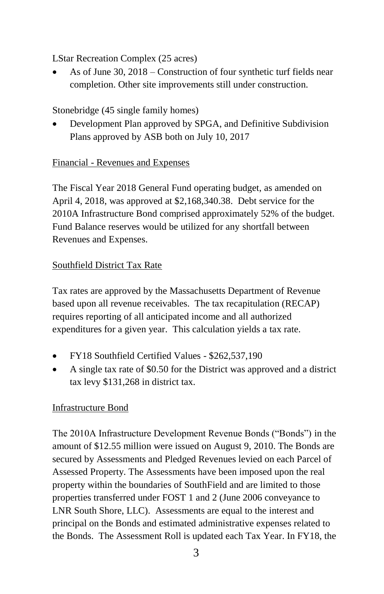LStar Recreation Complex (25 acres)

• As of June 30, 2018 – Construction of four synthetic turf fields near completion. Other site improvements still under construction.

# Stonebridge (45 single family homes)

• Development Plan approved by SPGA, and Definitive Subdivision Plans approved by ASB both on July 10, 2017

# Financial - Revenues and Expenses

The Fiscal Year 2018 General Fund operating budget, as amended on April 4, 2018, was approved at \$2,168,340.38. Debt service for the 2010A Infrastructure Bond comprised approximately 52% of the budget. Fund Balance reserves would be utilized for any shortfall between Revenues and Expenses.

# Southfield District Tax Rate

Tax rates are approved by the Massachusetts Department of Revenue based upon all revenue receivables. The tax recapitulation (RECAP) requires reporting of all anticipated income and all authorized expenditures for a given year. This calculation yields a tax rate.

- FY18 Southfield Certified Values \$262,537,190
- A single tax rate of \$0.50 for the District was approved and a district tax levy \$131,268 in district tax.

# Infrastructure Bond

The 2010A Infrastructure Development Revenue Bonds ("Bonds") in the amount of \$12.55 million were issued on August 9, 2010. The Bonds are secured by Assessments and Pledged Revenues levied on each Parcel of Assessed Property. The Assessments have been imposed upon the real property within the boundaries of SouthField and are limited to those properties transferred under FOST 1 and 2 (June 2006 conveyance to LNR South Shore, LLC). Assessments are equal to the interest and principal on the Bonds and estimated administrative expenses related to the Bonds. The Assessment Roll is updated each Tax Year. In FY18, the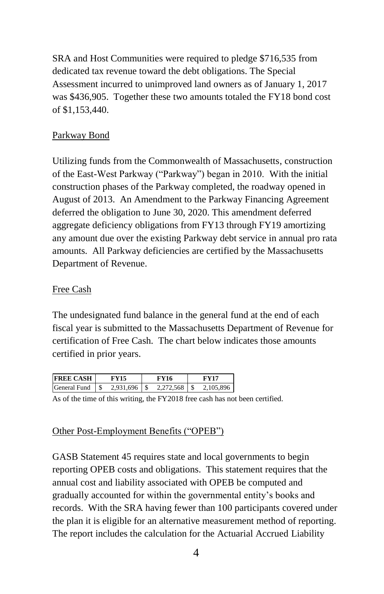SRA and Host Communities were required to pledge \$716,535 from dedicated tax revenue toward the debt obligations. The Special Assessment incurred to unimproved land owners as of January 1, 2017 was \$436,905. Together these two amounts totaled the FY18 bond cost of \$1,153,440.

### Parkway Bond

Utilizing funds from the Commonwealth of Massachusetts, construction of the East-West Parkway ("Parkway") began in 2010. With the initial construction phases of the Parkway completed, the roadway opened in August of 2013. An Amendment to the Parkway Financing Agreement deferred the obligation to June 30, 2020. This amendment deferred aggregate deficiency obligations from FY13 through FY19 amortizing any amount due over the existing Parkway debt service in annual pro rata amounts. All Parkway deficiencies are certified by the Massachusetts Department of Revenue.

### Free Cash

The undesignated fund balance in the general fund at the end of each fiscal year is submitted to the Massachusetts Department of Revenue for certification of Free Cash. The chart below indicates those amounts certified in prior years.

| <b>FREE CASH</b>    |           | FY16      | FV17      |
|---------------------|-----------|-----------|-----------|
| <b>General Fund</b> | 2.931.696 | 2 272 568 | 2 105 896 |

As of the time of this writing, the FY2018 free cash has not been certified.

### Other Post-Employment Benefits ("OPEB")

GASB Statement 45 requires state and local governments to begin reporting OPEB costs and obligations. This statement requires that the annual cost and liability associated with OPEB be computed and gradually accounted for within the governmental entity's books and records. With the SRA having fewer than 100 participants covered under the plan it is eligible for an alternative measurement method of reporting. The report includes the calculation for the Actuarial Accrued Liability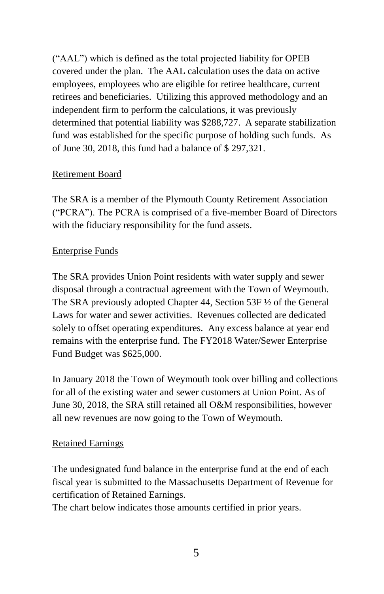("AAL") which is defined as the total projected liability for OPEB covered under the plan. The AAL calculation uses the data on active employees, employees who are eligible for retiree healthcare, current retirees and beneficiaries. Utilizing this approved methodology and an independent firm to perform the calculations, it was previously determined that potential liability was \$288,727. A separate stabilization fund was established for the specific purpose of holding such funds. As of June 30, 2018, this fund had a balance of \$ 297,321.

## Retirement Board

The SRA is a member of the Plymouth County Retirement Association ("PCRA"). The PCRA is comprised of a five-member Board of Directors with the fiduciary responsibility for the fund assets.

## Enterprise Funds

The SRA provides Union Point residents with water supply and sewer disposal through a contractual agreement with the Town of Weymouth. The SRA previously adopted Chapter 44, Section 53F ½ of the General Laws for water and sewer activities. Revenues collected are dedicated solely to offset operating expenditures. Any excess balance at year end remains with the enterprise fund. The FY2018 Water/Sewer Enterprise Fund Budget was \$625,000.

In January 2018 the Town of Weymouth took over billing and collections for all of the existing water and sewer customers at Union Point. As of June 30, 2018, the SRA still retained all O&M responsibilities, however all new revenues are now going to the Town of Weymouth.

# Retained Earnings

The undesignated fund balance in the enterprise fund at the end of each fiscal year is submitted to the Massachusetts Department of Revenue for certification of Retained Earnings.

The chart below indicates those amounts certified in prior years.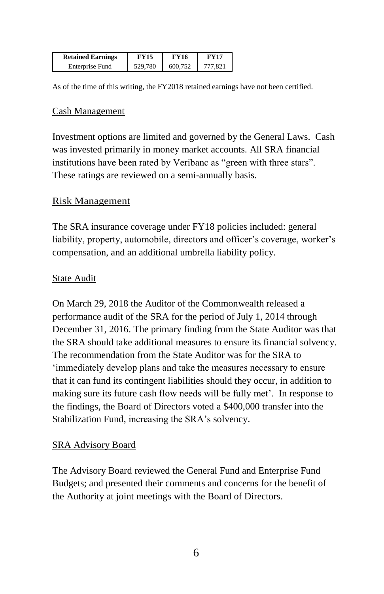| <b>Retained Earnings</b> | FY15    | FY16    | <b>FV17</b> |
|--------------------------|---------|---------|-------------|
| Enterprise Fund          | 529,780 | 600.752 | 777.821     |

As of the time of this writing, the FY2018 retained earnings have not been certified.

#### Cash Management

Investment options are limited and governed by the General Laws. Cash was invested primarily in money market accounts. All SRA financial institutions have been rated by Veribanc as "green with three stars". These ratings are reviewed on a semi-annually basis.

#### Risk Management

The SRA insurance coverage under FY18 policies included: general liability, property, automobile, directors and officer's coverage, worker's compensation, and an additional umbrella liability policy.

### **State Audit**

On March 29, 2018 the Auditor of the Commonwealth released a performance audit of the SRA for the period of July 1, 2014 through December 31, 2016. The primary finding from the State Auditor was that the SRA should take additional measures to ensure its financial solvency. The recommendation from the State Auditor was for the SRA to 'immediately develop plans and take the measures necessary to ensure that it can fund its contingent liabilities should they occur, in addition to making sure its future cash flow needs will be fully met'. In response to the findings, the Board of Directors voted a \$400,000 transfer into the Stabilization Fund, increasing the SRA's solvency.

### SRA Advisory Board

The Advisory Board reviewed the General Fund and Enterprise Fund Budgets; and presented their comments and concerns for the benefit of the Authority at joint meetings with the Board of Directors.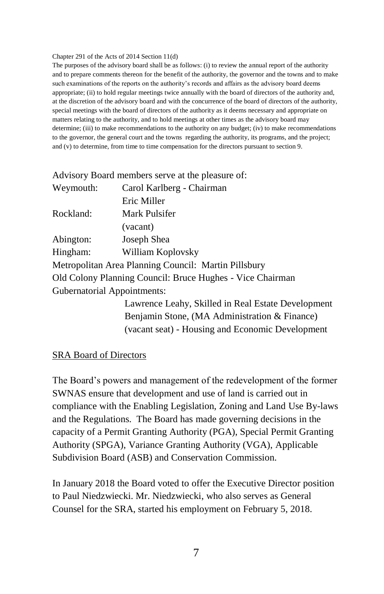#### Chapter 291 of the Acts of 2014 Section 11(d)

The purposes of the advisory board shall be as follows: (i) to review the annual report of the authority and to prepare comments thereon for the benefit of the authority, the governor and the towns and to make such examinations of the reports on the authority's records and affairs as the advisory board deems appropriate; (ii) to hold regular meetings twice annually with the board of directors of the authority and, at the discretion of the advisory board and with the concurrence of the board of directors of the authority, special meetings with the board of directors of the authority as it deems necessary and appropriate on matters relating to the authority, and to hold meetings at other times as the advisory board may determine; (iii) to make recommendations to the authority on any budget; (iv) to make recommendations to the governor, the general court and the towns regarding the authority, its programs, and the project; and (v) to determine, from time to time compensation for the directors pursuant to section 9.

Advisory Board members serve at the pleasure of:

| Weymouth:                   | Carol Karlberg - Chairman                                 |
|-----------------------------|-----------------------------------------------------------|
|                             | Eric Miller                                               |
| Rockland:                   | Mark Pulsifer                                             |
|                             | (vacant)                                                  |
| Abington:                   | Joseph Shea                                               |
| Hingham:                    | William Koplovsky                                         |
|                             | Metropolitan Area Planning Council: Martin Pillsbury      |
|                             | Old Colony Planning Council: Bruce Hughes - Vice Chairman |
| Gubernatorial Appointments: |                                                           |
|                             | Lawrence Leahy, Skilled in Real Estate Development        |
|                             | Benjamin Stone, (MA Administration & Finance)             |
|                             | (vacant seat) - Housing and Economic Development          |

#### SRA Board of Directors

The Board's powers and management of the redevelopment of the former SWNAS ensure that development and use of land is carried out in compliance with the Enabling Legislation, Zoning and Land Use By-laws and the Regulations. The Board has made governing decisions in the capacity of a Permit Granting Authority (PGA), Special Permit Granting Authority (SPGA), Variance Granting Authority (VGA), Applicable Subdivision Board (ASB) and Conservation Commission.

In January 2018 the Board voted to offer the Executive Director position to Paul Niedzwiecki. Mr. Niedzwiecki, who also serves as General Counsel for the SRA, started his employment on February 5, 2018.